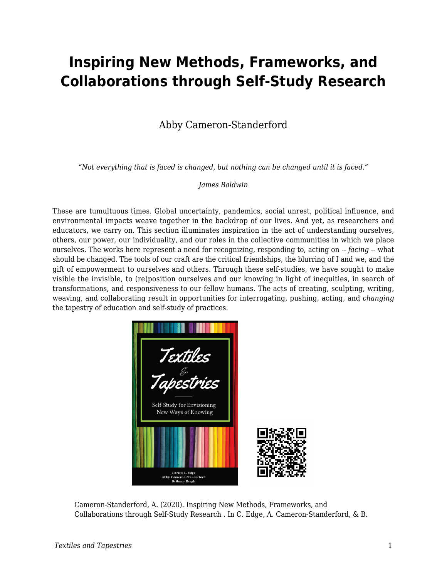## **Inspiring New Methods, Frameworks, and Collaborations through Self-Study Research**

## Abby Cameron-Standerford

*"Not everything that is faced is changed, but nothing can be changed until it is faced."*

## *James Baldwin*

These are tumultuous times. Global uncertainty, pandemics, social unrest, political influence, and environmental impacts weave together in the backdrop of our lives. And yet, as researchers and educators, we carry on. This section illuminates inspiration in the act of understanding ourselves, others, our power, our individuality, and our roles in the collective communities in which we place ourselves. The works here represent a need for recognizing, responding to, acting on -- *facing* -- what should be changed. The tools of our craft are the critical friendships, the blurring of I and we, and the gift of empowerment to ourselves and others. Through these self-studies, we have sought to make visible the invisible, to (re)position ourselves and our knowing in light of inequities, in search of transformations, and responsiveness to our fellow humans. The acts of creating, sculpting, writing, weaving, and collaborating result in opportunities for interrogating, pushing, acting, and *changing* the tapestry of education and self-study of practices.



Cameron-Standerford, A. (2020). Inspiring New Methods, Frameworks, and Collaborations through Self-Study Research . In C. Edge, A. Cameron-Standerford, & B.